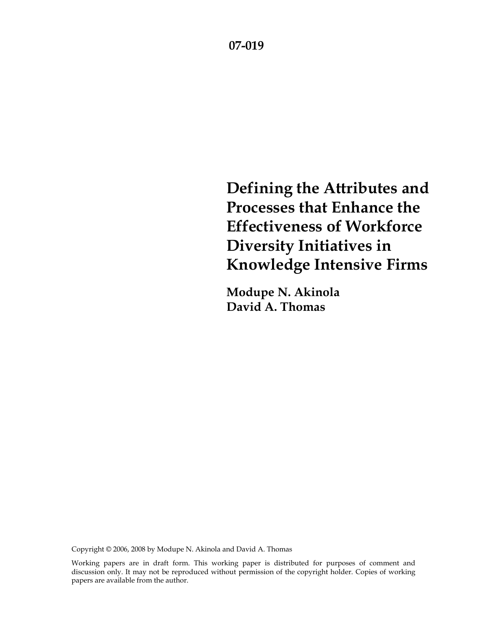**Defining the Attributes and Processes that Enhance the Effectiveness of Workforce Diversity Initiatives in Knowledge Intensive Firms** 

**Modupe N. Akinola David A. Thomas** 

Copyright © 2006, 2008 by Modupe N. Akinola and David A. Thomas

Working papers are in draft form. This working paper is distributed for purposes of comment and discussion only. It may not be reproduced without permission of the copyright holder. Copies of working papers are available from the author.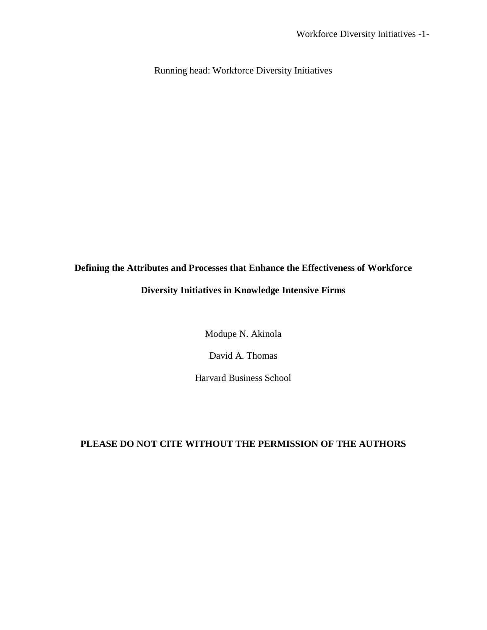Running head: Workforce Diversity Initiatives

# **Defining the Attributes and Processes that Enhance the Effectiveness of Workforce Diversity Initiatives in Knowledge Intensive Firms**

Modupe N. Akinola

David A. Thomas

Harvard Business School

## **PLEASE DO NOT CITE WITHOUT THE PERMISSION OF THE AUTHORS**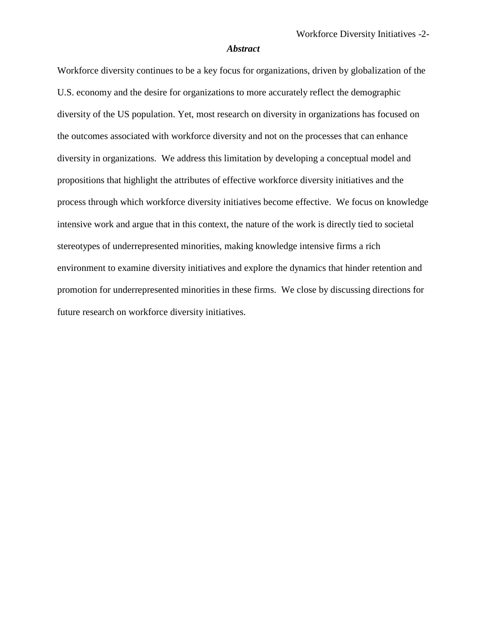#### *Abstract*

Workforce diversity continues to be a key focus for organizations, driven by globalization of the U.S. economy and the desire for organizations to more accurately reflect the demographic diversity of the US population. Yet, most research on diversity in organizations has focused on the outcomes associated with workforce diversity and not on the processes that can enhance diversity in organizations. We address this limitation by developing a conceptual model and propositions that highlight the attributes of effective workforce diversity initiatives and the process through which workforce diversity initiatives become effective. We focus on knowledge intensive work and argue that in this context, the nature of the work is directly tied to societal stereotypes of underrepresented minorities, making knowledge intensive firms a rich environment to examine diversity initiatives and explore the dynamics that hinder retention and promotion for underrepresented minorities in these firms. We close by discussing directions for future research on workforce diversity initiatives.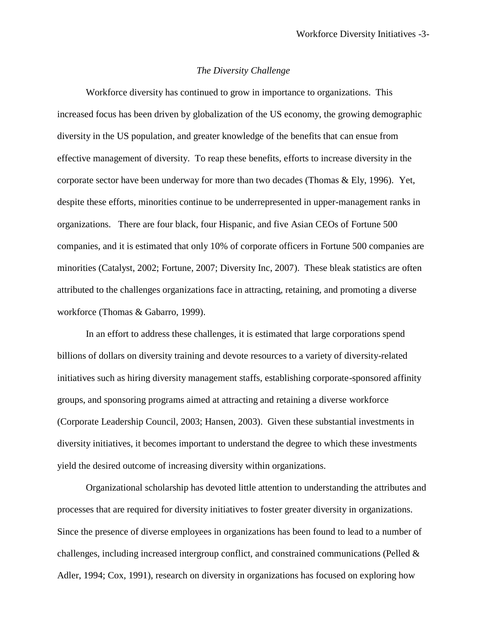## *The Diversity Challenge*

Workforce diversity has continued to grow in importance to organizations. This increased focus has been driven by globalization of the US economy, the growing demographic diversity in the US population, and greater knowledge of the benefits that can ensue from effective management of diversity. To reap these benefits, efforts to increase diversity in the corporate sector have been underway for more than two decades (Thomas & Ely, 1996). Yet, despite these efforts, minorities continue to be underrepresented in upper-management ranks in organizations. There are four black, four Hispanic, and five Asian CEOs of Fortune 500 companies, and it is estimated that only 10% of corporate officers in Fortune 500 companies are minorities (Catalyst, 2002; Fortune, 2007; Diversity Inc, 2007). These bleak statistics are often attributed to the challenges organizations face in attracting, retaining, and promoting a diverse workforce (Thomas & Gabarro, 1999).

In an effort to address these challenges, it is estimated that large corporations spend billions of dollars on diversity training and devote resources to a variety of diversity-related initiatives such as hiring diversity management staffs, establishing corporate-sponsored affinity groups, and sponsoring programs aimed at attracting and retaining a diverse workforce (Corporate Leadership Council, 2003; Hansen, 2003). Given these substantial investments in diversity initiatives, it becomes important to understand the degree to which these investments yield the desired outcome of increasing diversity within organizations.

Organizational scholarship has devoted little attention to understanding the attributes and processes that are required for diversity initiatives to foster greater diversity in organizations. Since the presence of diverse employees in organizations has been found to lead to a number of challenges, including increased intergroup conflict, and constrained communications (Pelled & Adler, 1994; Cox, 1991), research on diversity in organizations has focused on exploring how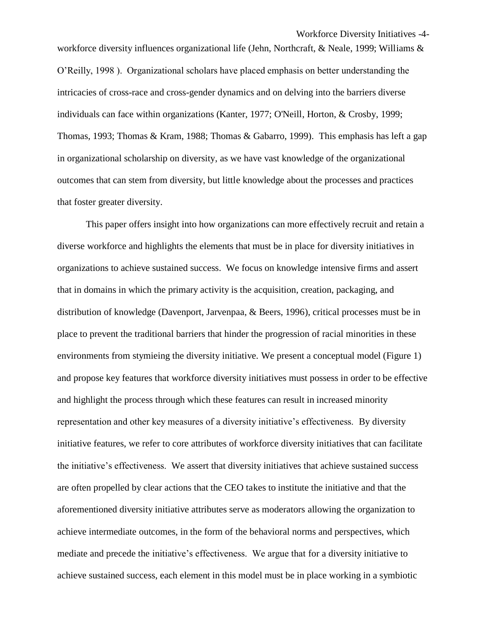Workforce Diversity Initiatives -4-

workforce diversity influences organizational life (Jehn, Northcraft, & Neale, 1999; Williams & O'Reilly, 1998 ). Organizational scholars have placed emphasis on better understanding the intricacies of cross-race and cross-gender dynamics and on delving into the barriers diverse individuals can face within organizations (Kanter, 1977; O'Neill, Horton, & Crosby, 1999; Thomas, 1993; Thomas & Kram, 1988; Thomas & Gabarro, 1999). This emphasis has left a gap in organizational scholarship on diversity, as we have vast knowledge of the organizational outcomes that can stem from diversity, but little knowledge about the processes and practices that foster greater diversity.

This paper offers insight into how organizations can more effectively recruit and retain a diverse workforce and highlights the elements that must be in place for diversity initiatives in organizations to achieve sustained success. We focus on knowledge intensive firms and assert that in domains in which the primary activity is the acquisition, creation, packaging, and distribution of knowledge (Davenport, Jarvenpaa, & Beers, 1996), critical processes must be in place to prevent the traditional barriers that hinder the progression of racial minorities in these environments from stymieing the diversity initiative. We present a conceptual model (Figure 1) and propose key features that workforce diversity initiatives must possess in order to be effective and highlight the process through which these features can result in increased minority representation and other key measures of a diversity initiative's effectiveness. By diversity initiative features, we refer to core attributes of workforce diversity initiatives that can facilitate the initiative's effectiveness. We assert that diversity initiatives that achieve sustained success are often propelled by clear actions that the CEO takes to institute the initiative and that the aforementioned diversity initiative attributes serve as moderators allowing the organization to achieve intermediate outcomes, in the form of the behavioral norms and perspectives, which mediate and precede the initiative's effectiveness. We argue that for a diversity initiative to achieve sustained success, each element in this model must be in place working in a symbiotic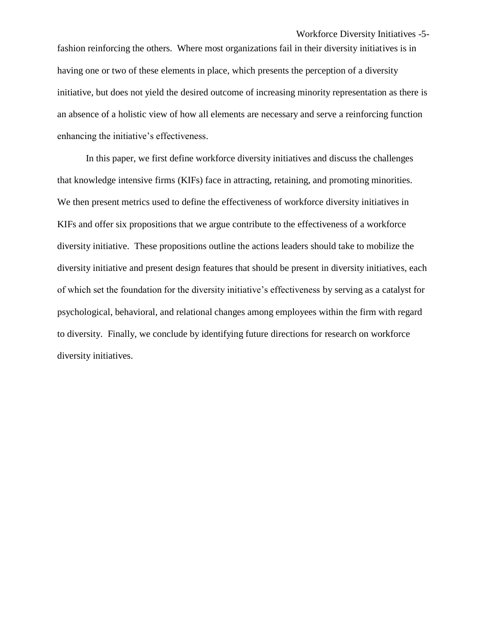fashion reinforcing the others. Where most organizations fail in their diversity initiatives is in having one or two of these elements in place, which presents the perception of a diversity initiative, but does not yield the desired outcome of increasing minority representation as there is an absence of a holistic view of how all elements are necessary and serve a reinforcing function enhancing the initiative's effectiveness.

In this paper, we first define workforce diversity initiatives and discuss the challenges that knowledge intensive firms (KIFs) face in attracting, retaining, and promoting minorities. We then present metrics used to define the effectiveness of workforce diversity initiatives in KIFs and offer six propositions that we argue contribute to the effectiveness of a workforce diversity initiative. These propositions outline the actions leaders should take to mobilize the diversity initiative and present design features that should be present in diversity initiatives, each of which set the foundation for the diversity initiative's effectiveness by serving as a catalyst for psychological, behavioral, and relational changes among employees within the firm with regard to diversity. Finally, we conclude by identifying future directions for research on workforce diversity initiatives.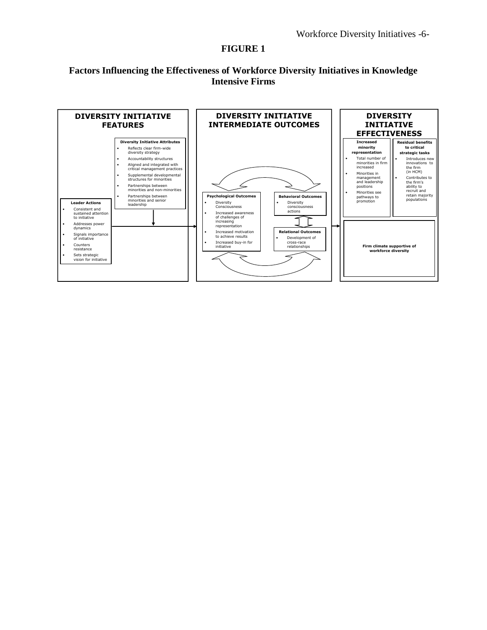## **FIGURE 1**

## **Factors Influencing the Effectiveness of Workforce Diversity Initiatives in Knowledge Intensive Firms**

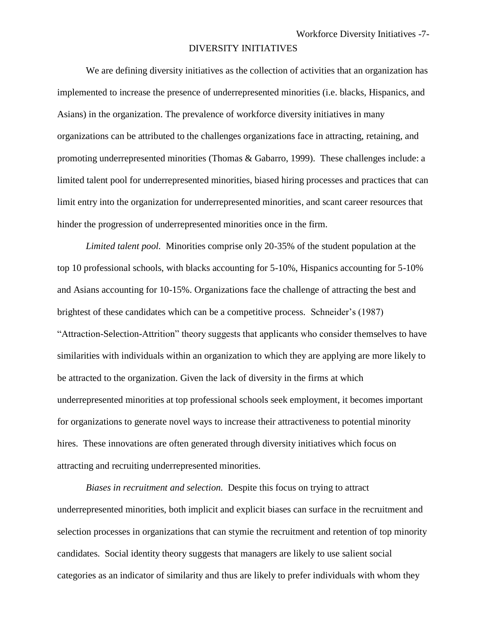#### DIVERSITY INITIATIVES

We are defining diversity initiatives as the collection of activities that an organization has implemented to increase the presence of underrepresented minorities (i.e. blacks, Hispanics, and Asians) in the organization. The prevalence of workforce diversity initiatives in many organizations can be attributed to the challenges organizations face in attracting, retaining, and promoting underrepresented minorities (Thomas & Gabarro, 1999). These challenges include: a limited talent pool for underrepresented minorities, biased hiring processes and practices that can limit entry into the organization for underrepresented minorities, and scant career resources that hinder the progression of underrepresented minorities once in the firm.

*Limited talent pool.* Minorities comprise only 20-35% of the student population at the top 10 professional schools, with blacks accounting for 5-10%, Hispanics accounting for 5-10% and Asians accounting for 10-15%. Organizations face the challenge of attracting the best and brightest of these candidates which can be a competitive process. Schneider's (1987) "Attraction-Selection-Attrition" theory suggests that applicants who consider themselves to have similarities with individuals within an organization to which they are applying are more likely to be attracted to the organization. Given the lack of diversity in the firms at which underrepresented minorities at top professional schools seek employment, it becomes important for organizations to generate novel ways to increase their attractiveness to potential minority hires. These innovations are often generated through diversity initiatives which focus on attracting and recruiting underrepresented minorities.

*Biases in recruitment and selection.* Despite this focus on trying to attract underrepresented minorities, both implicit and explicit biases can surface in the recruitment and selection processes in organizations that can stymie the recruitment and retention of top minority candidates. Social identity theory suggests that managers are likely to use salient social categories as an indicator of similarity and thus are likely to prefer individuals with whom they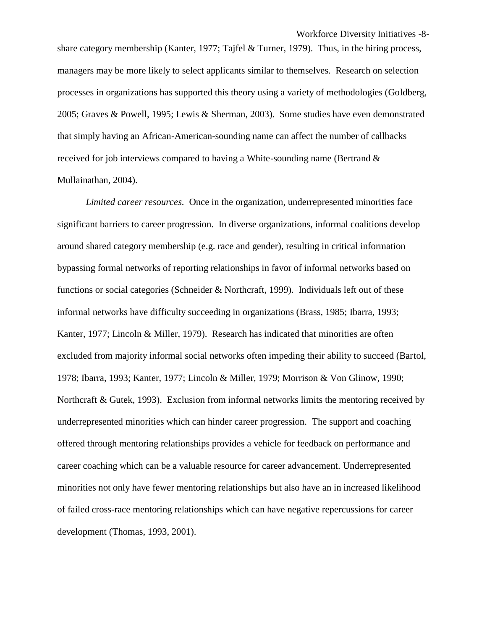share category membership (Kanter, 1977; Tajfel & Turner, 1979). Thus, in the hiring process, managers may be more likely to select applicants similar to themselves. Research on selection processes in organizations has supported this theory using a variety of methodologies (Goldberg, 2005; Graves & Powell, 1995; Lewis & Sherman, 2003). Some studies have even demonstrated that simply having an African-American-sounding name can affect the number of callbacks received for job interviews compared to having a White-sounding name (Bertrand & Mullainathan, 2004).

*Limited career resources.* Once in the organization, underrepresented minorities face significant barriers to career progression. In diverse organizations, informal coalitions develop around shared category membership (e.g. race and gender), resulting in critical information bypassing formal networks of reporting relationships in favor of informal networks based on functions or social categories (Schneider & Northcraft, 1999). Individuals left out of these informal networks have difficulty succeeding in organizations (Brass, 1985; Ibarra, 1993; Kanter, 1977; Lincoln & Miller, 1979). Research has indicated that minorities are often excluded from majority informal social networks often impeding their ability to succeed (Bartol, 1978; Ibarra, 1993; Kanter, 1977; Lincoln & Miller, 1979; Morrison & Von Glinow, 1990; Northcraft & Gutek, 1993). Exclusion from informal networks limits the mentoring received by underrepresented minorities which can hinder career progression. The support and coaching offered through mentoring relationships provides a vehicle for feedback on performance and career coaching which can be a valuable resource for career advancement. Underrepresented minorities not only have fewer mentoring relationships but also have an in increased likelihood of failed cross-race mentoring relationships which can have negative repercussions for career development (Thomas, 1993, 2001).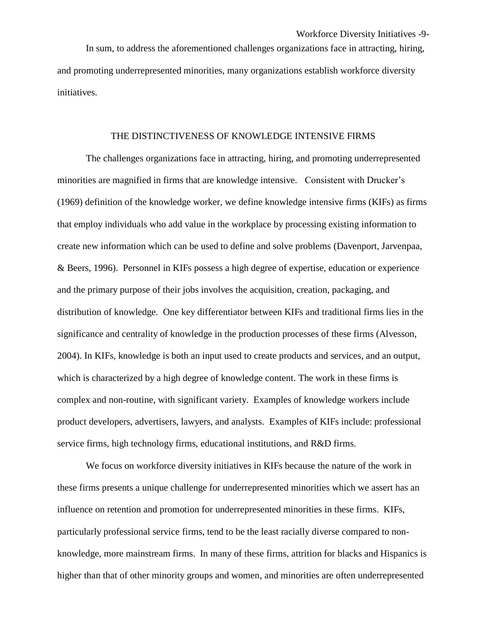In sum, to address the aforementioned challenges organizations face in attracting, hiring, and promoting underrepresented minorities, many organizations establish workforce diversity initiatives.

#### THE DISTINCTIVENESS OF KNOWLEDGE INTENSIVE FIRMS

The challenges organizations face in attracting, hiring, and promoting underrepresented minorities are magnified in firms that are knowledge intensive. Consistent with Drucker's (1969) definition of the knowledge worker, we define knowledge intensive firms (KIFs) as firms that employ individuals who add value in the workplace by processing existing information to create new information which can be used to define and solve problems (Davenport, Jarvenpaa, & Beers, 1996). Personnel in KIFs possess a high degree of expertise, education or experience and the primary purpose of their jobs involves the acquisition, creation, packaging, and distribution of knowledge. One key differentiator between KIFs and traditional firms lies in the significance and centrality of knowledge in the production processes of these firms (Alvesson, 2004). In KIFs, knowledge is both an input used to create products and services, and an output, which is characterized by a high degree of knowledge content. The work in these firms is complex and non-routine, with significant variety. Examples of knowledge workers include product developers, advertisers, lawyers, and analysts. Examples of KIFs include: professional service firms, high technology firms, educational institutions, and R&D firms.

We focus on workforce diversity initiatives in KIFs because the nature of the work in these firms presents a unique challenge for underrepresented minorities which we assert has an influence on retention and promotion for underrepresented minorities in these firms. KIFs, particularly professional service firms, tend to be the least racially diverse compared to nonknowledge, more mainstream firms. In many of these firms, attrition for blacks and Hispanics is higher than that of other minority groups and women, and minorities are often underrepresented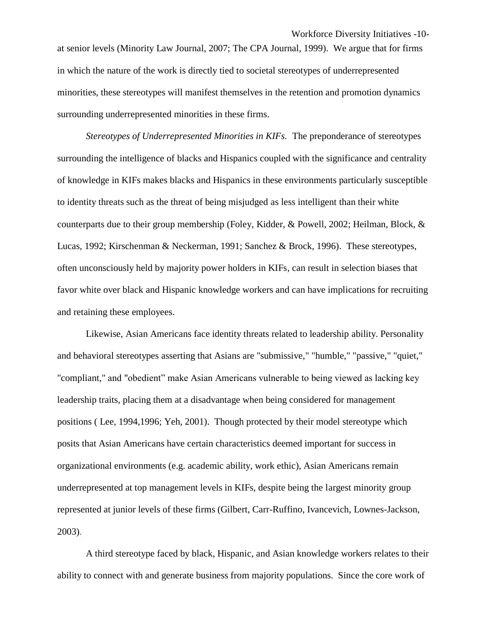at senior levels (Minority Law Journal, 2007; The CPA Journal, 1999). We argue that for firms in which the nature of the work is directly tied to societal stereotypes of underrepresented minorities, these stereotypes will manifest themselves in the retention and promotion dynamics surrounding underrepresented minorities in these firms.

*Stereotypes of Underrepresented Minorities in KIFs.* The preponderance of stereotypes surrounding the intelligence of blacks and Hispanics coupled with the significance and centrality of knowledge in KIFs makes blacks and Hispanics in these environments particularly susceptible to identity threats such as the threat of being misjudged as less intelligent than their white counterparts due to their group membership (Foley, Kidder, & Powell, 2002; Heilman, Block, & Lucas, 1992; Kirschenman & Neckerman, 1991; Sanchez & Brock, 1996). These stereotypes, often unconsciously held by majority power holders in KIFs, can result in selection biases that favor white over black and Hispanic knowledge workers and can have implications for recruiting and retaining these employees.

Likewise, Asian Americans face identity threats related to leadership ability. Personality and behavioral stereotypes asserting that Asians are "submissive," "humble," "passive," "quiet," "compliant," and "obedient" make Asian Americans vulnerable to being viewed as lacking key leadership traits, placing them at a disadvantage when being considered for management positions ( Lee, 1994,1996; Yeh, 2001). Though protected by their model stereotype which posits that Asian Americans have certain characteristics deemed important for success in organizational environments (e.g. academic ability, work ethic), Asian Americans remain underrepresented at top management levels in KIFs, despite being the largest minority group represented at junior levels of these firms (Gilbert, Carr-Ruffino, Ivancevich, Lownes-Jackson, 2003).

A third stereotype faced by black, Hispanic, and Asian knowledge workers relates to their ability to connect with and generate business from majority populations. Since the core work of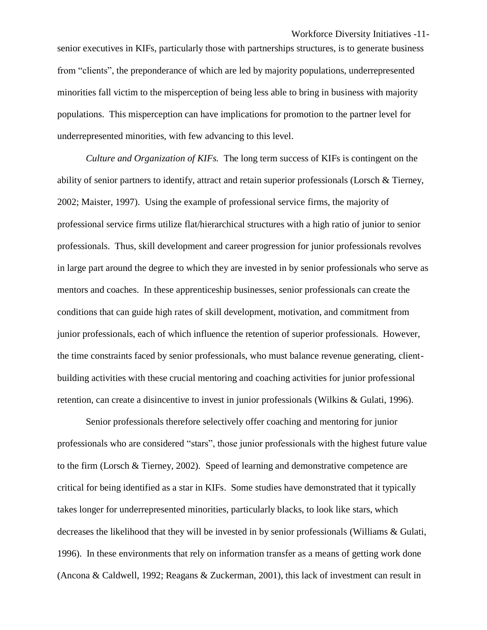senior executives in KIFs, particularly those with partnerships structures, is to generate business from "clients", the preponderance of which are led by majority populations, underrepresented minorities fall victim to the misperception of being less able to bring in business with majority populations. This misperception can have implications for promotion to the partner level for underrepresented minorities, with few advancing to this level.

*Culture and Organization of KIFs.* The long term success of KIFs is contingent on the ability of senior partners to identify, attract and retain superior professionals (Lorsch & Tierney, 2002; Maister, 1997). Using the example of professional service firms, the majority of professional service firms utilize flat/hierarchical structures with a high ratio of junior to senior professionals. Thus, skill development and career progression for junior professionals revolves in large part around the degree to which they are invested in by senior professionals who serve as mentors and coaches. In these apprenticeship businesses, senior professionals can create the conditions that can guide high rates of skill development, motivation, and commitment from junior professionals, each of which influence the retention of superior professionals. However, the time constraints faced by senior professionals, who must balance revenue generating, clientbuilding activities with these crucial mentoring and coaching activities for junior professional retention, can create a disincentive to invest in junior professionals (Wilkins & Gulati, 1996).

Senior professionals therefore selectively offer coaching and mentoring for junior professionals who are considered "stars", those junior professionals with the highest future value to the firm (Lorsch & Tierney, 2002). Speed of learning and demonstrative competence are critical for being identified as a star in KIFs. Some studies have demonstrated that it typically takes longer for underrepresented minorities, particularly blacks, to look like stars, which decreases the likelihood that they will be invested in by senior professionals (Williams & Gulati, 1996). In these environments that rely on information transfer as a means of getting work done (Ancona & Caldwell, 1992; Reagans & Zuckerman, 2001), this lack of investment can result in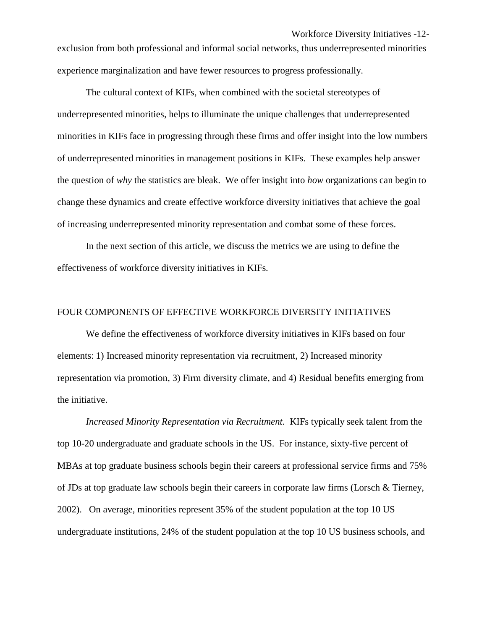exclusion from both professional and informal social networks, thus underrepresented minorities experience marginalization and have fewer resources to progress professionally.

The cultural context of KIFs, when combined with the societal stereotypes of underrepresented minorities, helps to illuminate the unique challenges that underrepresented minorities in KIFs face in progressing through these firms and offer insight into the low numbers of underrepresented minorities in management positions in KIFs. These examples help answer the question of *why* the statistics are bleak. We offer insight into *how* organizations can begin to change these dynamics and create effective workforce diversity initiatives that achieve the goal of increasing underrepresented minority representation and combat some of these forces.

In the next section of this article, we discuss the metrics we are using to define the effectiveness of workforce diversity initiatives in KIFs.

## FOUR COMPONENTS OF EFFECTIVE WORKFORCE DIVERSITY INITIATIVES

We define the effectiveness of workforce diversity initiatives in KIFs based on four elements: 1) Increased minority representation via recruitment, 2) Increased minority representation via promotion, 3) Firm diversity climate, and 4) Residual benefits emerging from the initiative.

*Increased Minority Representation via Recruitment.* KIFs typically seek talent from the top 10-20 undergraduate and graduate schools in the US. For instance, sixty-five percent of MBAs at top graduate business schools begin their careers at professional service firms and 75% of JDs at top graduate law schools begin their careers in corporate law firms (Lorsch & Tierney, 2002). On average, minorities represent 35% of the student population at the top 10 US undergraduate institutions, 24% of the student population at the top 10 US business schools, and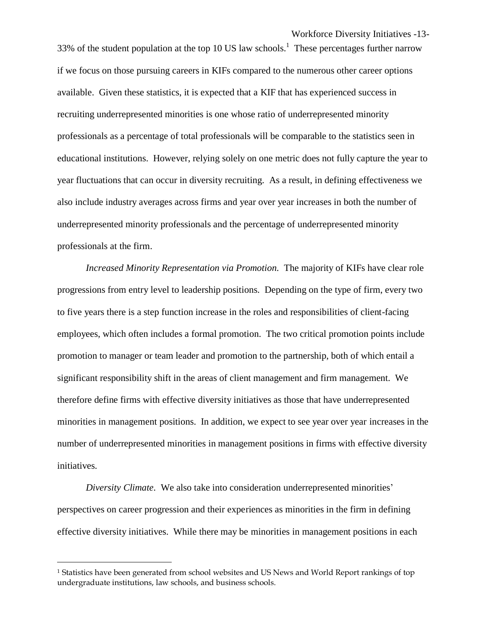Workforce Diversity Initiatives -13- 33% of the student population at the top 10 US law schools.<sup>1</sup> These percentages further narrow if we focus on those pursuing careers in KIFs compared to the numerous other career options available. Given these statistics, it is expected that a KIF that has experienced success in recruiting underrepresented minorities is one whose ratio of underrepresented minority professionals as a percentage of total professionals will be comparable to the statistics seen in educational institutions. However, relying solely on one metric does not fully capture the year to year fluctuations that can occur in diversity recruiting. As a result, in defining effectiveness we also include industry averages across firms and year over year increases in both the number of underrepresented minority professionals and the percentage of underrepresented minority professionals at the firm.

*Increased Minority Representation via Promotion.* The majority of KIFs have clear role progressions from entry level to leadership positions. Depending on the type of firm, every two to five years there is a step function increase in the roles and responsibilities of client-facing employees, which often includes a formal promotion. The two critical promotion points include promotion to manager or team leader and promotion to the partnership, both of which entail a significant responsibility shift in the areas of client management and firm management. We therefore define firms with effective diversity initiatives as those that have underrepresented minorities in management positions. In addition, we expect to see year over year increases in the number of underrepresented minorities in management positions in firms with effective diversity initiatives.

*Diversity Climate.* We also take into consideration underrepresented minorities' perspectives on career progression and their experiences as minorities in the firm in defining effective diversity initiatives. While there may be minorities in management positions in each

 $\overline{a}$ 

<sup>&</sup>lt;sup>1</sup> Statistics have been generated from school websites and US News and World Report rankings of top undergraduate institutions, law schools, and business schools.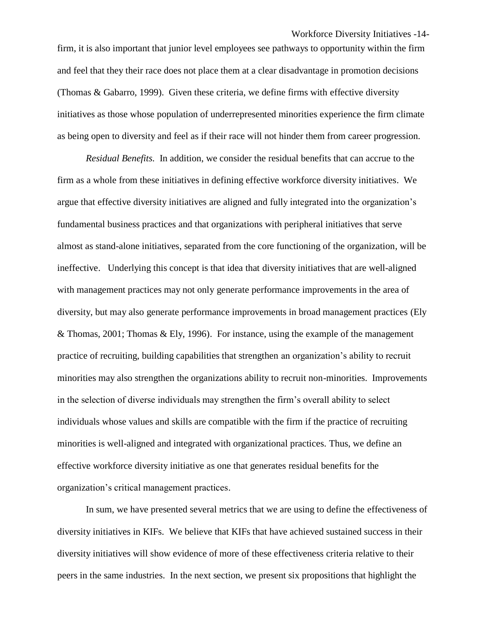Workforce Diversity Initiatives -14 firm, it is also important that junior level employees see pathways to opportunity within the firm and feel that they their race does not place them at a clear disadvantage in promotion decisions (Thomas & Gabarro, 1999). Given these criteria, we define firms with effective diversity initiatives as those whose population of underrepresented minorities experience the firm climate as being open to diversity and feel as if their race will not hinder them from career progression.

*Residual Benefits.* In addition, we consider the residual benefits that can accrue to the firm as a whole from these initiatives in defining effective workforce diversity initiatives. We argue that effective diversity initiatives are aligned and fully integrated into the organization's fundamental business practices and that organizations with peripheral initiatives that serve almost as stand-alone initiatives, separated from the core functioning of the organization, will be ineffective. Underlying this concept is that idea that diversity initiatives that are well-aligned with management practices may not only generate performance improvements in the area of diversity, but may also generate performance improvements in broad management practices (Ely & Thomas, 2001; Thomas & Ely, 1996). For instance, using the example of the management practice of recruiting, building capabilities that strengthen an organization's ability to recruit minorities may also strengthen the organizations ability to recruit non-minorities. Improvements in the selection of diverse individuals may strengthen the firm's overall ability to select individuals whose values and skills are compatible with the firm if the practice of recruiting minorities is well-aligned and integrated with organizational practices. Thus, we define an effective workforce diversity initiative as one that generates residual benefits for the organization's critical management practices.

In sum, we have presented several metrics that we are using to define the effectiveness of diversity initiatives in KIFs. We believe that KIFs that have achieved sustained success in their diversity initiatives will show evidence of more of these effectiveness criteria relative to their peers in the same industries. In the next section, we present six propositions that highlight the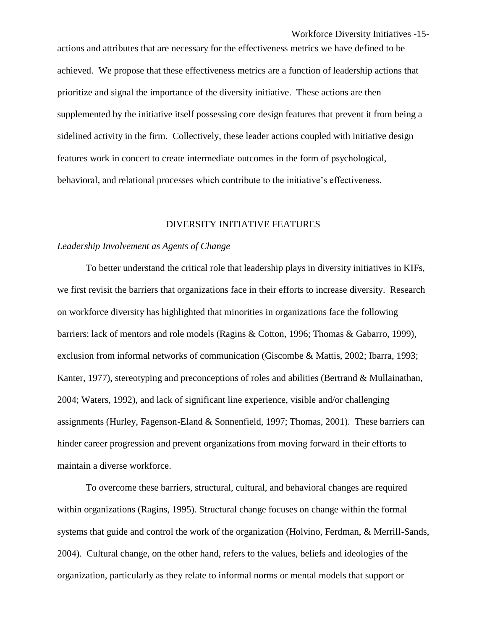actions and attributes that are necessary for the effectiveness metrics we have defined to be achieved. We propose that these effectiveness metrics are a function of leadership actions that prioritize and signal the importance of the diversity initiative. These actions are then supplemented by the initiative itself possessing core design features that prevent it from being a sidelined activity in the firm. Collectively, these leader actions coupled with initiative design features work in concert to create intermediate outcomes in the form of psychological, behavioral, and relational processes which contribute to the initiative's effectiveness.

#### DIVERSITY INITIATIVE FEATURES

## *Leadership Involvement as Agents of Change*

To better understand the critical role that leadership plays in diversity initiatives in KIFs, we first revisit the barriers that organizations face in their efforts to increase diversity. Research on workforce diversity has highlighted that minorities in organizations face the following barriers: lack of mentors and role models (Ragins & Cotton, 1996; Thomas & Gabarro, 1999), exclusion from informal networks of communication (Giscombe & Mattis, 2002; Ibarra, 1993; Kanter, 1977), stereotyping and preconceptions of roles and abilities (Bertrand & Mullainathan, 2004; Waters, 1992), and lack of significant line experience, visible and/or challenging assignments (Hurley, Fagenson-Eland & Sonnenfield, 1997; Thomas, 2001). These barriers can hinder career progression and prevent organizations from moving forward in their efforts to maintain a diverse workforce.

To overcome these barriers, structural, cultural, and behavioral changes are required within organizations (Ragins, 1995). Structural change focuses on change within the formal systems that guide and control the work of the organization (Holvino, Ferdman, & Merrill-Sands, 2004). Cultural change, on the other hand, refers to the values, beliefs and ideologies of the organization, particularly as they relate to informal norms or mental models that support or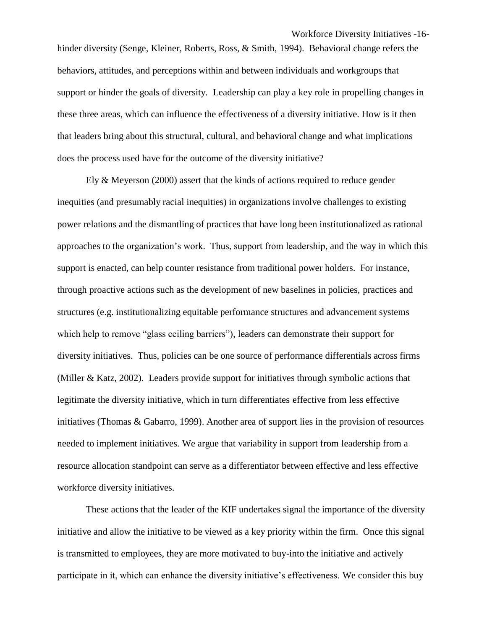behaviors, attitudes, and perceptions within and between individuals and workgroups that support or hinder the goals of diversity. Leadership can play a key role in propelling changes in these three areas, which can influence the effectiveness of a diversity initiative. How is it then that leaders bring about this structural, cultural, and behavioral change and what implications does the process used have for the outcome of the diversity initiative?

Ely & Meyerson (2000) assert that the kinds of actions required to reduce gender inequities (and presumably racial inequities) in organizations involve challenges to existing power relations and the dismantling of practices that have long been institutionalized as rational approaches to the organization's work. Thus, support from leadership, and the way in which this support is enacted, can help counter resistance from traditional power holders. For instance, through proactive actions such as the development of new baselines in policies, practices and structures (e.g. institutionalizing equitable performance structures and advancement systems which help to remove "glass ceiling barriers"), leaders can demonstrate their support for diversity initiatives. Thus, policies can be one source of performance differentials across firms (Miller & Katz, 2002). Leaders provide support for initiatives through symbolic actions that legitimate the diversity initiative, which in turn differentiates effective from less effective initiatives (Thomas & Gabarro, 1999). Another area of support lies in the provision of resources needed to implement initiatives. We argue that variability in support from leadership from a resource allocation standpoint can serve as a differentiator between effective and less effective workforce diversity initiatives.

These actions that the leader of the KIF undertakes signal the importance of the diversity initiative and allow the initiative to be viewed as a key priority within the firm. Once this signal is transmitted to employees, they are more motivated to buy-into the initiative and actively participate in it, which can enhance the diversity initiative's effectiveness. We consider this buy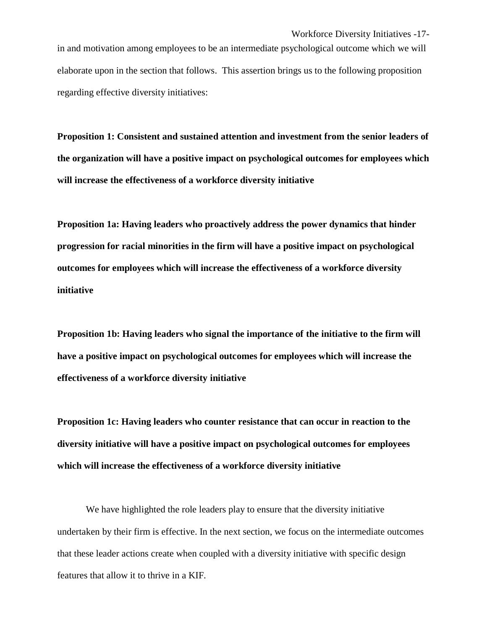in and motivation among employees to be an intermediate psychological outcome which we will elaborate upon in the section that follows. This assertion brings us to the following proposition regarding effective diversity initiatives:

**Proposition 1: Consistent and sustained attention and investment from the senior leaders of the organization will have a positive impact on psychological outcomes for employees which will increase the effectiveness of a workforce diversity initiative**

**Proposition 1a: Having leaders who proactively address the power dynamics that hinder progression for racial minorities in the firm will have a positive impact on psychological outcomes for employees which will increase the effectiveness of a workforce diversity initiative**

**Proposition 1b: Having leaders who signal the importance of the initiative to the firm will have a positive impact on psychological outcomes for employees which will increase the effectiveness of a workforce diversity initiative** 

**Proposition 1c: Having leaders who counter resistance that can occur in reaction to the diversity initiative will have a positive impact on psychological outcomes for employees which will increase the effectiveness of a workforce diversity initiative** 

We have highlighted the role leaders play to ensure that the diversity initiative undertaken by their firm is effective. In the next section, we focus on the intermediate outcomes that these leader actions create when coupled with a diversity initiative with specific design features that allow it to thrive in a KIF.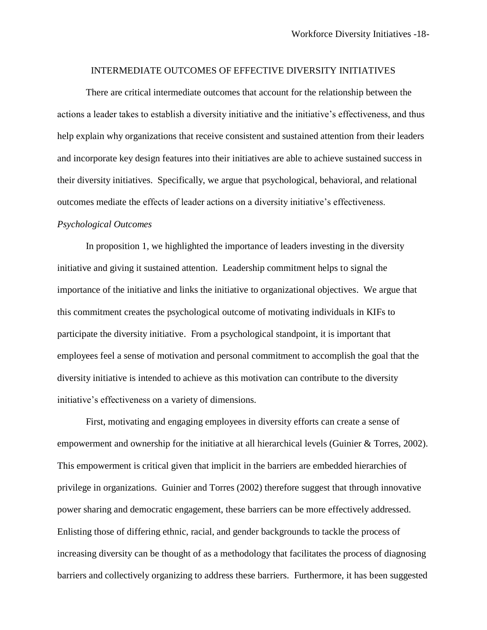#### INTERMEDIATE OUTCOMES OF EFFECTIVE DIVERSITY INITIATIVES

There are critical intermediate outcomes that account for the relationship between the actions a leader takes to establish a diversity initiative and the initiative's effectiveness, and thus help explain why organizations that receive consistent and sustained attention from their leaders and incorporate key design features into their initiatives are able to achieve sustained success in their diversity initiatives. Specifically, we argue that psychological, behavioral, and relational outcomes mediate the effects of leader actions on a diversity initiative's effectiveness.

## *Psychological Outcomes*

In proposition 1, we highlighted the importance of leaders investing in the diversity initiative and giving it sustained attention. Leadership commitment helps to signal the importance of the initiative and links the initiative to organizational objectives. We argue that this commitment creates the psychological outcome of motivating individuals in KIFs to participate the diversity initiative. From a psychological standpoint, it is important that employees feel a sense of motivation and personal commitment to accomplish the goal that the diversity initiative is intended to achieve as this motivation can contribute to the diversity initiative's effectiveness on a variety of dimensions.

First, motivating and engaging employees in diversity efforts can create a sense of empowerment and ownership for the initiative at all hierarchical levels (Guinier & Torres, 2002). This empowerment is critical given that implicit in the barriers are embedded hierarchies of privilege in organizations. Guinier and Torres (2002) therefore suggest that through innovative power sharing and democratic engagement, these barriers can be more effectively addressed. Enlisting those of differing ethnic, racial, and gender backgrounds to tackle the process of increasing diversity can be thought of as a methodology that facilitates the process of diagnosing barriers and collectively organizing to address these barriers. Furthermore, it has been suggested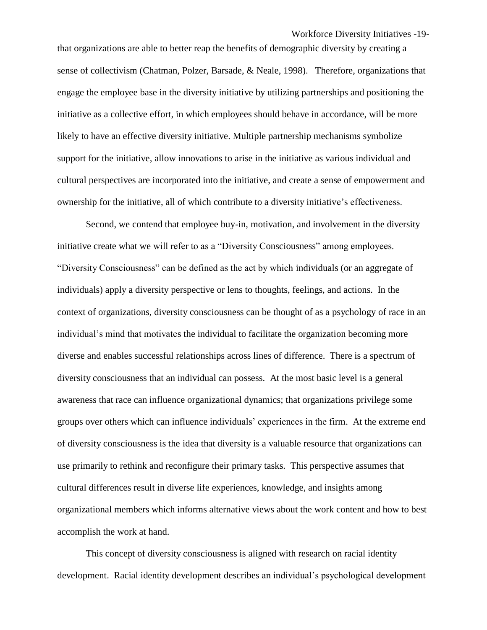Workforce Diversity Initiatives -19-

that organizations are able to better reap the benefits of demographic diversity by creating a sense of collectivism (Chatman, Polzer, Barsade, & Neale, 1998). Therefore, organizations that engage the employee base in the diversity initiative by utilizing partnerships and positioning the initiative as a collective effort, in which employees should behave in accordance, will be more likely to have an effective diversity initiative. Multiple partnership mechanisms symbolize support for the initiative, allow innovations to arise in the initiative as various individual and cultural perspectives are incorporated into the initiative, and create a sense of empowerment and ownership for the initiative, all of which contribute to a diversity initiative's effectiveness.

Second, we contend that employee buy-in, motivation, and involvement in the diversity initiative create what we will refer to as a "Diversity Consciousness" among employees. "Diversity Consciousness" can be defined as the act by which individuals (or an aggregate of individuals) apply a diversity perspective or lens to thoughts, feelings, and actions. In the context of organizations, diversity consciousness can be thought of as a psychology of race in an individual's mind that motivates the individual to facilitate the organization becoming more diverse and enables successful relationships across lines of difference. There is a spectrum of diversity consciousness that an individual can possess. At the most basic level is a general awareness that race can influence organizational dynamics; that organizations privilege some groups over others which can influence individuals' experiences in the firm. At the extreme end of diversity consciousness is the idea that diversity is a valuable resource that organizations can use primarily to rethink and reconfigure their primary tasks. This perspective assumes that cultural differences result in diverse life experiences, knowledge, and insights among organizational members which informs alternative views about the work content and how to best accomplish the work at hand.

This concept of diversity consciousness is aligned with research on racial identity development. Racial identity development describes an individual's psychological development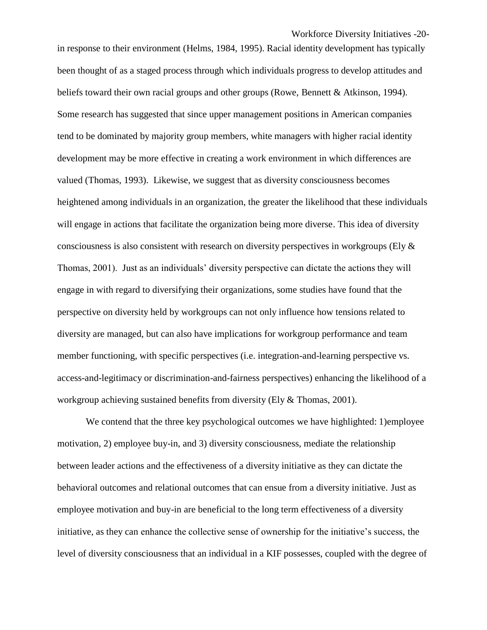Workforce Diversity Initiatives -20 in response to their environment (Helms, 1984, 1995). Racial identity development has typically been thought of as a staged process through which individuals progress to develop attitudes and beliefs toward their own racial groups and other groups (Rowe, Bennett & Atkinson, 1994). Some research has suggested that since upper management positions in American companies tend to be dominated by majority group members, white managers with higher racial identity development may be more effective in creating a work environment in which differences are valued (Thomas, 1993). Likewise, we suggest that as diversity consciousness becomes heightened among individuals in an organization, the greater the likelihood that these individuals will engage in actions that facilitate the organization being more diverse. This idea of diversity consciousness is also consistent with research on diversity perspectives in workgroups (Ely  $\&$ Thomas, 2001). Just as an individuals' diversity perspective can dictate the actions they will engage in with regard to diversifying their organizations, some studies have found that the perspective on diversity held by workgroups can not only influence how tensions related to diversity are managed, but can also have implications for workgroup performance and team member functioning, with specific perspectives (i.e. integration-and-learning perspective vs. access-and-legitimacy or discrimination-and-fairness perspectives) enhancing the likelihood of a workgroup achieving sustained benefits from diversity (Ely & Thomas, 2001).

We contend that the three key psychological outcomes we have highlighted: 1)employee motivation, 2) employee buy-in, and 3) diversity consciousness, mediate the relationship between leader actions and the effectiveness of a diversity initiative as they can dictate the behavioral outcomes and relational outcomes that can ensue from a diversity initiative. Just as employee motivation and buy-in are beneficial to the long term effectiveness of a diversity initiative, as they can enhance the collective sense of ownership for the initiative's success, the level of diversity consciousness that an individual in a KIF possesses, coupled with the degree of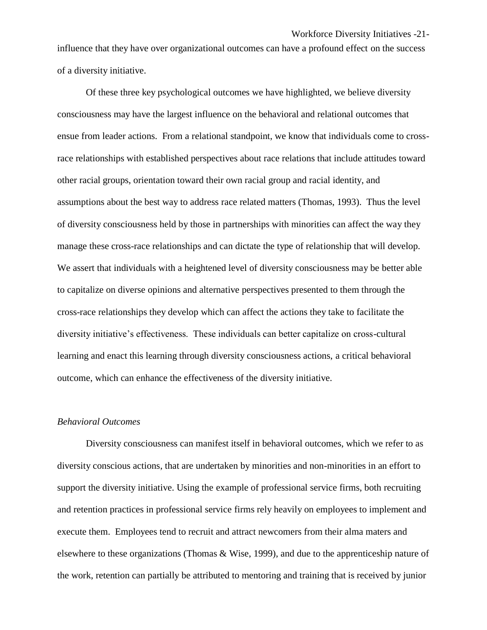influence that they have over organizational outcomes can have a profound effect on the success of a diversity initiative.

Of these three key psychological outcomes we have highlighted, we believe diversity consciousness may have the largest influence on the behavioral and relational outcomes that ensue from leader actions. From a relational standpoint, we know that individuals come to crossrace relationships with established perspectives about race relations that include attitudes toward other racial groups, orientation toward their own racial group and racial identity, and assumptions about the best way to address race related matters (Thomas, 1993). Thus the level of diversity consciousness held by those in partnerships with minorities can affect the way they manage these cross-race relationships and can dictate the type of relationship that will develop. We assert that individuals with a heightened level of diversity consciousness may be better able to capitalize on diverse opinions and alternative perspectives presented to them through the cross-race relationships they develop which can affect the actions they take to facilitate the diversity initiative's effectiveness. These individuals can better capitalize on cross-cultural learning and enact this learning through diversity consciousness actions, a critical behavioral outcome, which can enhance the effectiveness of the diversity initiative.

## *Behavioral Outcomes*

Diversity consciousness can manifest itself in behavioral outcomes, which we refer to as diversity conscious actions, that are undertaken by minorities and non-minorities in an effort to support the diversity initiative. Using the example of professional service firms, both recruiting and retention practices in professional service firms rely heavily on employees to implement and execute them. Employees tend to recruit and attract newcomers from their alma maters and elsewhere to these organizations (Thomas & Wise, 1999), and due to the apprenticeship nature of the work, retention can partially be attributed to mentoring and training that is received by junior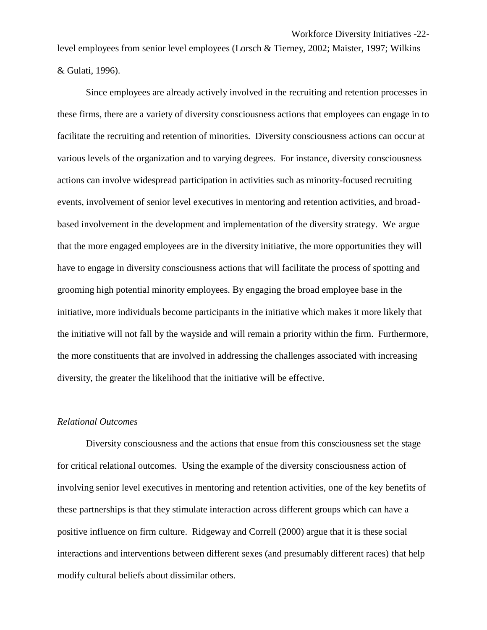level employees from senior level employees (Lorsch & Tierney, 2002; Maister, 1997; Wilkins & Gulati, 1996).

Since employees are already actively involved in the recruiting and retention processes in these firms, there are a variety of diversity consciousness actions that employees can engage in to facilitate the recruiting and retention of minorities. Diversity consciousness actions can occur at various levels of the organization and to varying degrees. For instance, diversity consciousness actions can involve widespread participation in activities such as minority-focused recruiting events, involvement of senior level executives in mentoring and retention activities, and broadbased involvement in the development and implementation of the diversity strategy. We argue that the more engaged employees are in the diversity initiative, the more opportunities they will have to engage in diversity consciousness actions that will facilitate the process of spotting and grooming high potential minority employees. By engaging the broad employee base in the initiative, more individuals become participants in the initiative which makes it more likely that the initiative will not fall by the wayside and will remain a priority within the firm. Furthermore, the more constituents that are involved in addressing the challenges associated with increasing diversity, the greater the likelihood that the initiative will be effective.

## *Relational Outcomes*

Diversity consciousness and the actions that ensue from this consciousness set the stage for critical relational outcomes. Using the example of the diversity consciousness action of involving senior level executives in mentoring and retention activities, one of the key benefits of these partnerships is that they stimulate interaction across different groups which can have a positive influence on firm culture. Ridgeway and Correll (2000) argue that it is these social interactions and interventions between different sexes (and presumably different races) that help modify cultural beliefs about dissimilar others.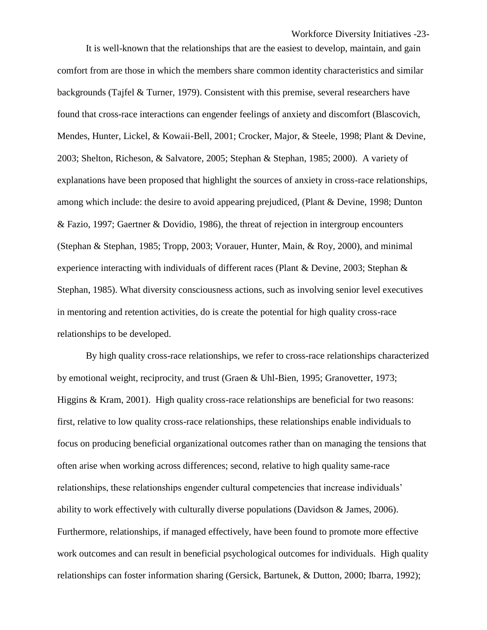It is well-known that the relationships that are the easiest to develop, maintain, and gain comfort from are those in which the members share common identity characteristics and similar backgrounds (Tajfel & Turner, 1979). Consistent with this premise, several researchers have found that cross-race interactions can engender feelings of anxiety and discomfort (Blascovich, Mendes, Hunter, Lickel, & Kowaii-Bell, 2001; Crocker, Major, & Steele, 1998; Plant & Devine, 2003; Shelton, Richeson, & Salvatore, 2005; Stephan & Stephan, 1985; 2000). A variety of explanations have been proposed that highlight the sources of anxiety in cross-race relationships, among which include: the desire to avoid appearing prejudiced, (Plant & Devine, 1998; Dunton & Fazio, 1997; Gaertner & Dovidio, 1986), the threat of rejection in intergroup encounters (Stephan & Stephan, 1985; Tropp, 2003; Vorauer, Hunter, Main, & Roy, 2000), and minimal experience interacting with individuals of different races (Plant & Devine, 2003; Stephan & Stephan, 1985). What diversity consciousness actions, such as involving senior level executives in mentoring and retention activities, do is create the potential for high quality cross-race relationships to be developed.

By high quality cross-race relationships, we refer to cross-race relationships characterized by emotional weight, reciprocity, and trust (Graen & Uhl-Bien, 1995; Granovetter, 1973; Higgins & Kram, 2001). High quality cross-race relationships are beneficial for two reasons: first, relative to low quality cross-race relationships, these relationships enable individuals to focus on producing beneficial organizational outcomes rather than on managing the tensions that often arise when working across differences; second, relative to high quality same-race relationships, these relationships engender cultural competencies that increase individuals' ability to work effectively with culturally diverse populations (Davidson & James, 2006). Furthermore, relationships, if managed effectively, have been found to promote more effective work outcomes and can result in beneficial psychological outcomes for individuals. High quality relationships can foster information sharing (Gersick, Bartunek, & Dutton, 2000; Ibarra, 1992);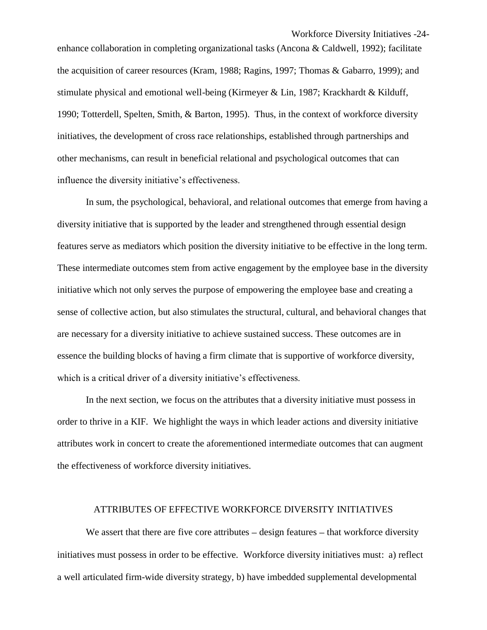Workforce Diversity Initiatives -24 enhance collaboration in completing organizational tasks (Ancona & Caldwell, 1992); facilitate the acquisition of career resources (Kram, 1988; Ragins, 1997; Thomas & Gabarro, 1999); and stimulate physical and emotional well-being (Kirmeyer & Lin, 1987; Krackhardt & Kilduff, 1990; Totterdell, Spelten, Smith, & Barton, 1995). Thus, in the context of workforce diversity initiatives, the development of cross race relationships, established through partnerships and other mechanisms, can result in beneficial relational and psychological outcomes that can influence the diversity initiative's effectiveness.

In sum, the psychological, behavioral, and relational outcomes that emerge from having a diversity initiative that is supported by the leader and strengthened through essential design features serve as mediators which position the diversity initiative to be effective in the long term. These intermediate outcomes stem from active engagement by the employee base in the diversity initiative which not only serves the purpose of empowering the employee base and creating a sense of collective action, but also stimulates the structural, cultural, and behavioral changes that are necessary for a diversity initiative to achieve sustained success. These outcomes are in essence the building blocks of having a firm climate that is supportive of workforce diversity, which is a critical driver of a diversity initiative's effectiveness.

In the next section, we focus on the attributes that a diversity initiative must possess in order to thrive in a KIF. We highlight the ways in which leader actions and diversity initiative attributes work in concert to create the aforementioned intermediate outcomes that can augment the effectiveness of workforce diversity initiatives.

## ATTRIBUTES OF EFFECTIVE WORKFORCE DIVERSITY INITIATIVES

We assert that there are five core attributes  $-$  design features  $-$  that workforce diversity initiatives must possess in order to be effective. Workforce diversity initiatives must: a) reflect a well articulated firm-wide diversity strategy, b) have imbedded supplemental developmental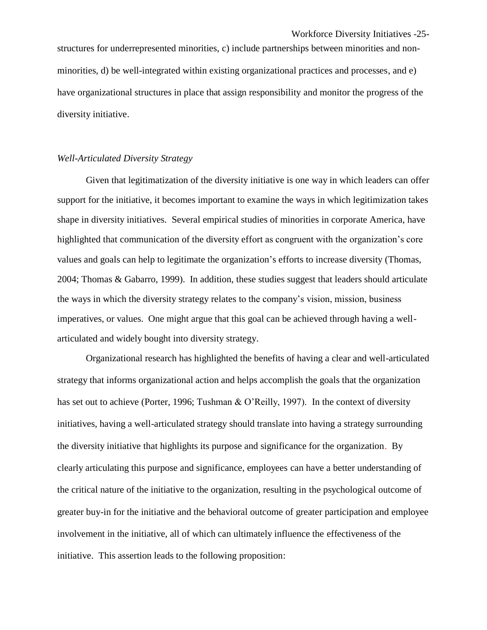structures for underrepresented minorities, c) include partnerships between minorities and nonminorities, d) be well-integrated within existing organizational practices and processes, and e) have organizational structures in place that assign responsibility and monitor the progress of the diversity initiative.

#### *Well-Articulated Diversity Strategy*

Given that legitimatization of the diversity initiative is one way in which leaders can offer support for the initiative, it becomes important to examine the ways in which legitimization takes shape in diversity initiatives. Several empirical studies of minorities in corporate America, have highlighted that communication of the diversity effort as congruent with the organization's core values and goals can help to legitimate the organization's efforts to increase diversity (Thomas, 2004; Thomas & Gabarro, 1999). In addition, these studies suggest that leaders should articulate the ways in which the diversity strategy relates to the company's vision, mission, business imperatives, or values. One might argue that this goal can be achieved through having a wellarticulated and widely bought into diversity strategy.

Organizational research has highlighted the benefits of having a clear and well-articulated strategy that informs organizational action and helps accomplish the goals that the organization has set out to achieve (Porter, 1996; Tushman & O'Reilly, 1997). In the context of diversity initiatives, having a well-articulated strategy should translate into having a strategy surrounding the diversity initiative that highlights its purpose and significance for the organization. By clearly articulating this purpose and significance, employees can have a better understanding of the critical nature of the initiative to the organization, resulting in the psychological outcome of greater buy-in for the initiative and the behavioral outcome of greater participation and employee involvement in the initiative, all of which can ultimately influence the effectiveness of the initiative. This assertion leads to the following proposition: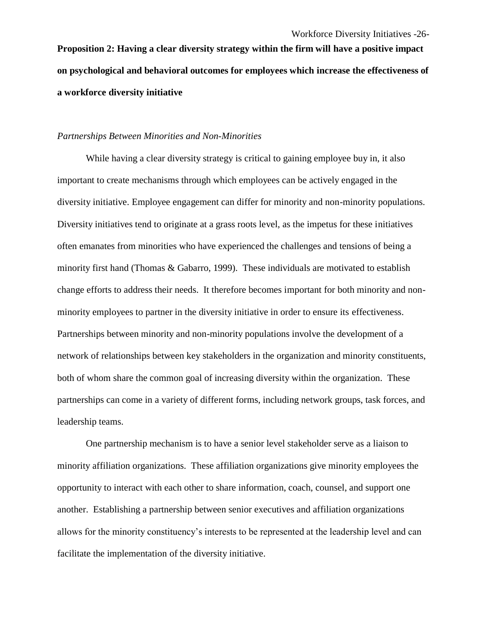**Proposition 2: Having a clear diversity strategy within the firm will have a positive impact on psychological and behavioral outcomes for employees which increase the effectiveness of a workforce diversity initiative**

## *Partnerships Between Minorities and Non-Minorities*

While having a clear diversity strategy is critical to gaining employee buy in, it also important to create mechanisms through which employees can be actively engaged in the diversity initiative. Employee engagement can differ for minority and non-minority populations. Diversity initiatives tend to originate at a grass roots level, as the impetus for these initiatives often emanates from minorities who have experienced the challenges and tensions of being a minority first hand (Thomas & Gabarro, 1999). These individuals are motivated to establish change efforts to address their needs. It therefore becomes important for both minority and nonminority employees to partner in the diversity initiative in order to ensure its effectiveness. Partnerships between minority and non-minority populations involve the development of a network of relationships between key stakeholders in the organization and minority constituents, both of whom share the common goal of increasing diversity within the organization. These partnerships can come in a variety of different forms, including network groups, task forces, and leadership teams.

One partnership mechanism is to have a senior level stakeholder serve as a liaison to minority affiliation organizations. These affiliation organizations give minority employees the opportunity to interact with each other to share information, coach, counsel, and support one another. Establishing a partnership between senior executives and affiliation organizations allows for the minority constituency's interests to be represented at the leadership level and can facilitate the implementation of the diversity initiative.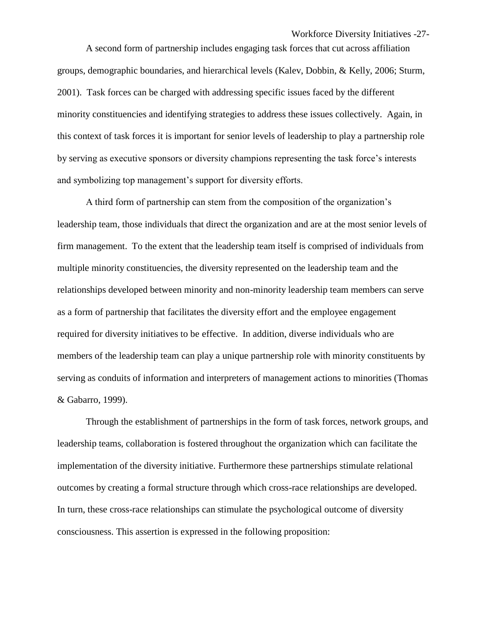A second form of partnership includes engaging task forces that cut across affiliation groups, demographic boundaries, and hierarchical levels (Kalev, Dobbin, & Kelly, 2006; Sturm, 2001). Task forces can be charged with addressing specific issues faced by the different minority constituencies and identifying strategies to address these issues collectively. Again, in this context of task forces it is important for senior levels of leadership to play a partnership role by serving as executive sponsors or diversity champions representing the task force's interests and symbolizing top management's support for diversity efforts.

A third form of partnership can stem from the composition of the organization's leadership team, those individuals that direct the organization and are at the most senior levels of firm management. To the extent that the leadership team itself is comprised of individuals from multiple minority constituencies, the diversity represented on the leadership team and the relationships developed between minority and non-minority leadership team members can serve as a form of partnership that facilitates the diversity effort and the employee engagement required for diversity initiatives to be effective. In addition, diverse individuals who are members of the leadership team can play a unique partnership role with minority constituents by serving as conduits of information and interpreters of management actions to minorities (Thomas & Gabarro, 1999).

Through the establishment of partnerships in the form of task forces, network groups, and leadership teams, collaboration is fostered throughout the organization which can facilitate the implementation of the diversity initiative. Furthermore these partnerships stimulate relational outcomes by creating a formal structure through which cross-race relationships are developed. In turn, these cross-race relationships can stimulate the psychological outcome of diversity consciousness. This assertion is expressed in the following proposition: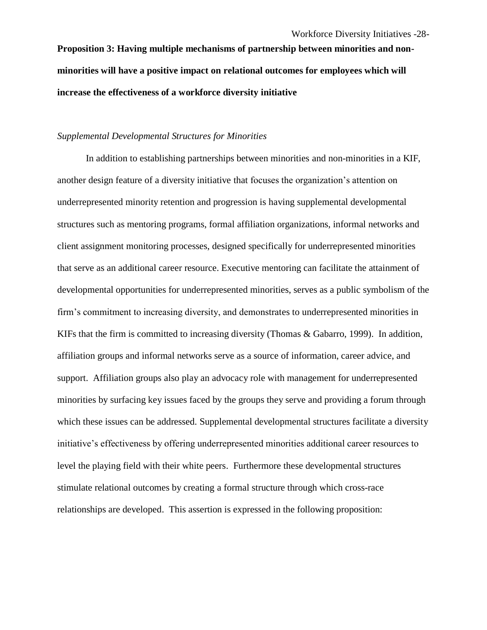**Proposition 3: Having multiple mechanisms of partnership between minorities and nonminorities will have a positive impact on relational outcomes for employees which will increase the effectiveness of a workforce diversity initiative** 

## *Supplemental Developmental Structures for Minorities*

In addition to establishing partnerships between minorities and non-minorities in a KIF, another design feature of a diversity initiative that focuses the organization's attention on underrepresented minority retention and progression is having supplemental developmental structures such as mentoring programs, formal affiliation organizations, informal networks and client assignment monitoring processes, designed specifically for underrepresented minorities that serve as an additional career resource. Executive mentoring can facilitate the attainment of developmental opportunities for underrepresented minorities, serves as a public symbolism of the firm's commitment to increasing diversity, and demonstrates to underrepresented minorities in KIFs that the firm is committed to increasing diversity (Thomas & Gabarro, 1999). In addition, affiliation groups and informal networks serve as a source of information, career advice, and support. Affiliation groups also play an advocacy role with management for underrepresented minorities by surfacing key issues faced by the groups they serve and providing a forum through which these issues can be addressed. Supplemental developmental structures facilitate a diversity initiative's effectiveness by offering underrepresented minorities additional career resources to level the playing field with their white peers. Furthermore these developmental structures stimulate relational outcomes by creating a formal structure through which cross-race relationships are developed. This assertion is expressed in the following proposition: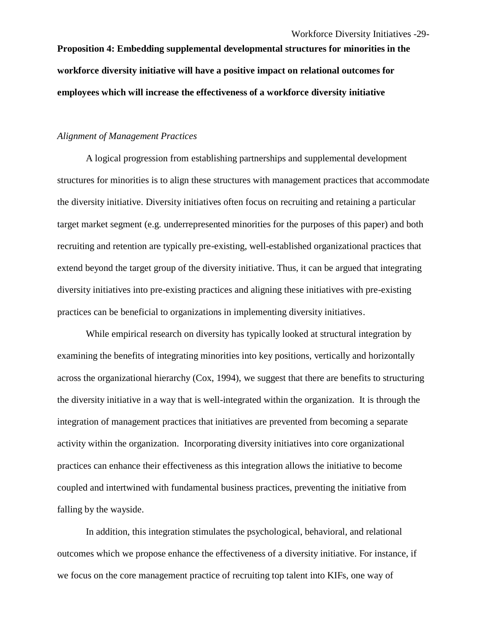**Proposition 4: Embedding supplemental developmental structures for minorities in the workforce diversity initiative will have a positive impact on relational outcomes for employees which will increase the effectiveness of a workforce diversity initiative**

## *Alignment of Management Practices*

A logical progression from establishing partnerships and supplemental development structures for minorities is to align these structures with management practices that accommodate the diversity initiative. Diversity initiatives often focus on recruiting and retaining a particular target market segment (e.g. underrepresented minorities for the purposes of this paper) and both recruiting and retention are typically pre-existing, well-established organizational practices that extend beyond the target group of the diversity initiative. Thus, it can be argued that integrating diversity initiatives into pre-existing practices and aligning these initiatives with pre-existing practices can be beneficial to organizations in implementing diversity initiatives.

While empirical research on diversity has typically looked at structural integration by examining the benefits of integrating minorities into key positions, vertically and horizontally across the organizational hierarchy (Cox, 1994), we suggest that there are benefits to structuring the diversity initiative in a way that is well-integrated within the organization. It is through the integration of management practices that initiatives are prevented from becoming a separate activity within the organization. Incorporating diversity initiatives into core organizational practices can enhance their effectiveness as this integration allows the initiative to become coupled and intertwined with fundamental business practices, preventing the initiative from falling by the wayside.

In addition, this integration stimulates the psychological, behavioral, and relational outcomes which we propose enhance the effectiveness of a diversity initiative. For instance, if we focus on the core management practice of recruiting top talent into KIFs, one way of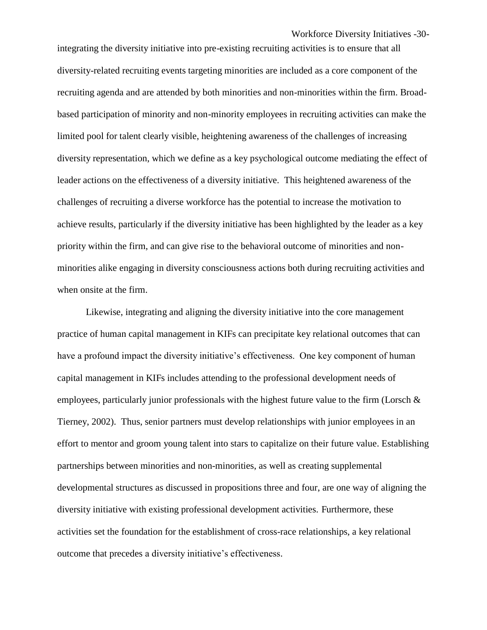Workforce Diversity Initiatives -30-

integrating the diversity initiative into pre-existing recruiting activities is to ensure that all diversity-related recruiting events targeting minorities are included as a core component of the recruiting agenda and are attended by both minorities and non-minorities within the firm. Broadbased participation of minority and non-minority employees in recruiting activities can make the limited pool for talent clearly visible, heightening awareness of the challenges of increasing diversity representation, which we define as a key psychological outcome mediating the effect of leader actions on the effectiveness of a diversity initiative. This heightened awareness of the challenges of recruiting a diverse workforce has the potential to increase the motivation to achieve results, particularly if the diversity initiative has been highlighted by the leader as a key priority within the firm, and can give rise to the behavioral outcome of minorities and nonminorities alike engaging in diversity consciousness actions both during recruiting activities and when onsite at the firm.

Likewise, integrating and aligning the diversity initiative into the core management practice of human capital management in KIFs can precipitate key relational outcomes that can have a profound impact the diversity initiative's effectiveness. One key component of human capital management in KIFs includes attending to the professional development needs of employees, particularly junior professionals with the highest future value to the firm (Lorsch  $\&$ Tierney, 2002). Thus, senior partners must develop relationships with junior employees in an effort to mentor and groom young talent into stars to capitalize on their future value. Establishing partnerships between minorities and non-minorities, as well as creating supplemental developmental structures as discussed in propositions three and four, are one way of aligning the diversity initiative with existing professional development activities. Furthermore, these activities set the foundation for the establishment of cross-race relationships, a key relational outcome that precedes a diversity initiative's effectiveness.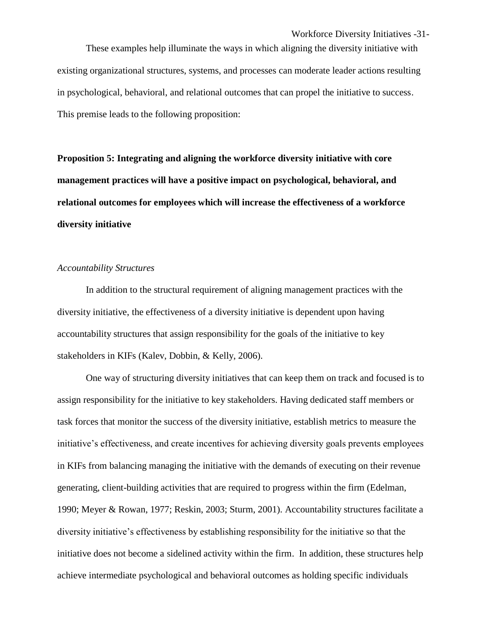These examples help illuminate the ways in which aligning the diversity initiative with existing organizational structures, systems, and processes can moderate leader actions resulting in psychological, behavioral, and relational outcomes that can propel the initiative to success. This premise leads to the following proposition:

**Proposition 5: Integrating and aligning the workforce diversity initiative with core management practices will have a positive impact on psychological, behavioral, and relational outcomes for employees which will increase the effectiveness of a workforce diversity initiative**

#### *Accountability Structures*

In addition to the structural requirement of aligning management practices with the diversity initiative, the effectiveness of a diversity initiative is dependent upon having accountability structures that assign responsibility for the goals of the initiative to key stakeholders in KIFs (Kalev, Dobbin, & Kelly, 2006).

One way of structuring diversity initiatives that can keep them on track and focused is to assign responsibility for the initiative to key stakeholders. Having dedicated staff members or task forces that monitor the success of the diversity initiative, establish metrics to measure the initiative's effectiveness, and create incentives for achieving diversity goals prevents employees in KIFs from balancing managing the initiative with the demands of executing on their revenue generating, client-building activities that are required to progress within the firm (Edelman, 1990; Meyer & Rowan, 1977; Reskin, 2003; Sturm, 2001). Accountability structures facilitate a diversity initiative's effectiveness by establishing responsibility for the initiative so that the initiative does not become a sidelined activity within the firm. In addition, these structures help achieve intermediate psychological and behavioral outcomes as holding specific individuals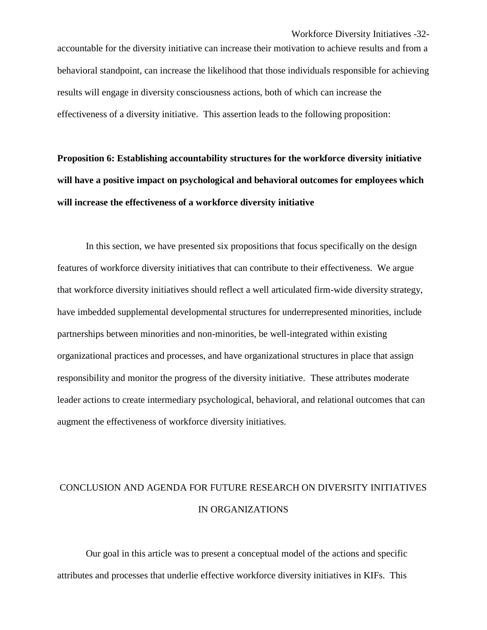accountable for the diversity initiative can increase their motivation to achieve results and from a behavioral standpoint, can increase the likelihood that those individuals responsible for achieving results will engage in diversity consciousness actions, both of which can increase the effectiveness of a diversity initiative. This assertion leads to the following proposition:

**Proposition 6: Establishing accountability structures for the workforce diversity initiative will have a positive impact on psychological and behavioral outcomes for employees which will increase the effectiveness of a workforce diversity initiative**

In this section, we have presented six propositions that focus specifically on the design features of workforce diversity initiatives that can contribute to their effectiveness. We argue that workforce diversity initiatives should reflect a well articulated firm-wide diversity strategy, have imbedded supplemental developmental structures for underrepresented minorities, include partnerships between minorities and non-minorities, be well-integrated within existing organizational practices and processes, and have organizational structures in place that assign responsibility and monitor the progress of the diversity initiative. These attributes moderate leader actions to create intermediary psychological, behavioral, and relational outcomes that can augment the effectiveness of workforce diversity initiatives.

# CONCLUSION AND AGENDA FOR FUTURE RESEARCH ON DIVERSITY INITIATIVES IN ORGANIZATIONS

Our goal in this article was to present a conceptual model of the actions and specific attributes and processes that underlie effective workforce diversity initiatives in KIFs. This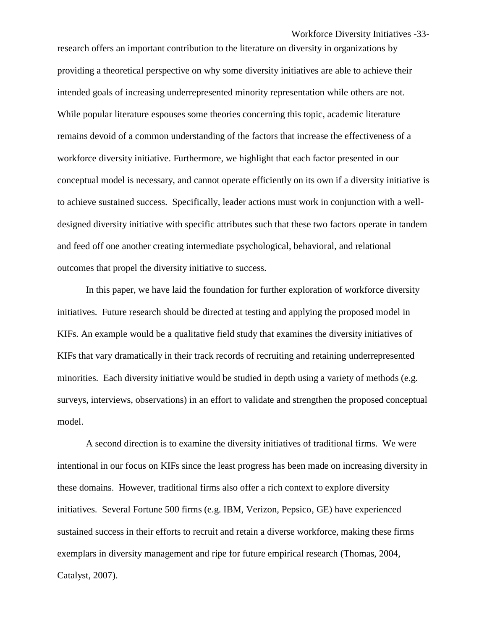Workforce Diversity Initiatives -33-

research offers an important contribution to the literature on diversity in organizations by providing a theoretical perspective on why some diversity initiatives are able to achieve their intended goals of increasing underrepresented minority representation while others are not. While popular literature espouses some theories concerning this topic, academic literature remains devoid of a common understanding of the factors that increase the effectiveness of a workforce diversity initiative. Furthermore, we highlight that each factor presented in our conceptual model is necessary, and cannot operate efficiently on its own if a diversity initiative is to achieve sustained success. Specifically, leader actions must work in conjunction with a welldesigned diversity initiative with specific attributes such that these two factors operate in tandem and feed off one another creating intermediate psychological, behavioral, and relational outcomes that propel the diversity initiative to success.

In this paper, we have laid the foundation for further exploration of workforce diversity initiatives. Future research should be directed at testing and applying the proposed model in KIFs. An example would be a qualitative field study that examines the diversity initiatives of KIFs that vary dramatically in their track records of recruiting and retaining underrepresented minorities. Each diversity initiative would be studied in depth using a variety of methods (e.g. surveys, interviews, observations) in an effort to validate and strengthen the proposed conceptual model.

A second direction is to examine the diversity initiatives of traditional firms. We were intentional in our focus on KIFs since the least progress has been made on increasing diversity in these domains. However, traditional firms also offer a rich context to explore diversity initiatives. Several Fortune 500 firms (e.g. IBM, Verizon, Pepsico, GE) have experienced sustained success in their efforts to recruit and retain a diverse workforce, making these firms exemplars in diversity management and ripe for future empirical research (Thomas, 2004, Catalyst, 2007).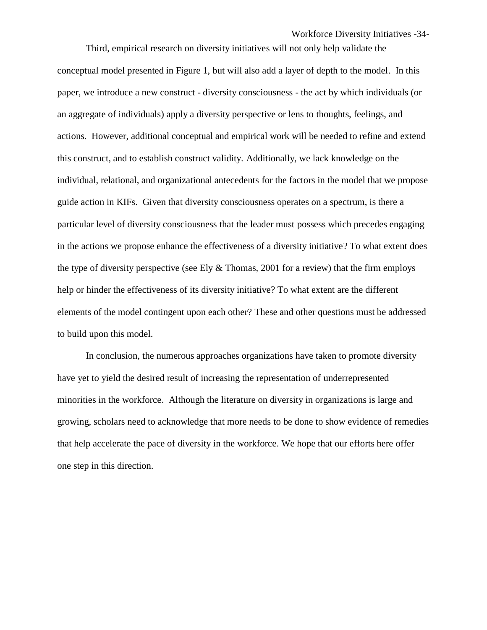Workforce Diversity Initiatives -34-

Third, empirical research on diversity initiatives will not only help validate the conceptual model presented in Figure 1, but will also add a layer of depth to the model. In this paper, we introduce a new construct - diversity consciousness - the act by which individuals (or an aggregate of individuals) apply a diversity perspective or lens to thoughts, feelings, and actions. However, additional conceptual and empirical work will be needed to refine and extend this construct, and to establish construct validity. Additionally, we lack knowledge on the individual, relational, and organizational antecedents for the factors in the model that we propose guide action in KIFs. Given that diversity consciousness operates on a spectrum, is there a particular level of diversity consciousness that the leader must possess which precedes engaging in the actions we propose enhance the effectiveness of a diversity initiative? To what extent does the type of diversity perspective (see Ely  $&$  Thomas, 2001 for a review) that the firm employs help or hinder the effectiveness of its diversity initiative? To what extent are the different elements of the model contingent upon each other? These and other questions must be addressed to build upon this model.

In conclusion, the numerous approaches organizations have taken to promote diversity have yet to yield the desired result of increasing the representation of underrepresented minorities in the workforce. Although the literature on diversity in organizations is large and growing, scholars need to acknowledge that more needs to be done to show evidence of remedies that help accelerate the pace of diversity in the workforce. We hope that our efforts here offer one step in this direction.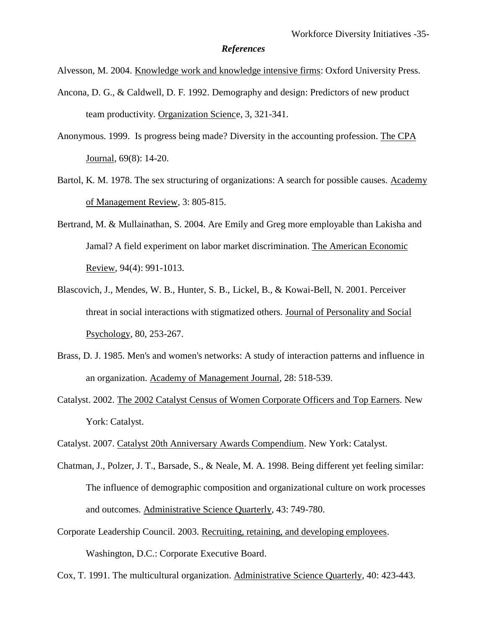#### *References*

Alvesson, M. 2004. Knowledge work and knowledge intensive firms: Oxford University Press.

- Ancona, D. G., & Caldwell, D. F. 1992. Demography and design: Predictors of new product team productivity. Organization Science, 3, 321-341.
- Anonymous. 1999. Is progress being made? Diversity in the accounting profession. The CPA Journal, 69(8): 14-20.
- Bartol, K. M. 1978. The sex structuring of organizations: A search for possible causes. Academy of Management Review, 3: 805-815.
- Bertrand, M. & Mullainathan, S. 2004. Are Emily and Greg more employable than Lakisha and Jamal? A field experiment on labor market discrimination. The American Economic Review, 94(4): 991-1013.
- Blascovich, J., Mendes, W. B., Hunter, S. B., Lickel, B., & Kowai-Bell, N. 2001. Perceiver threat in social interactions with stigmatized others. Journal of Personality and Social Psychology, 80, 253-267.
- Brass, D. J. 1985. Men's and women's networks: A study of interaction patterns and influence in an organization. Academy of Management Journal, 28: 518-539.
- Catalyst. 2002. The 2002 Catalyst Census of Women Corporate Officers and Top Earners. New York: Catalyst.
- Catalyst. 2007. Catalyst 20th Anniversary Awards Compendium. New York: Catalyst.
- Chatman, J., Polzer, J. T., Barsade, S., & Neale, M. A. 1998. Being different yet feeling similar: The influence of demographic composition and organizational culture on work processes and outcomes. Administrative Science Quarterly, 43: 749-780.
- Corporate Leadership Council. 2003. Recruiting, retaining, and developing employees. Washington, D.C.: Corporate Executive Board.

Cox, T. 1991. The multicultural organization. Administrative Science Quarterly, 40: 423-443.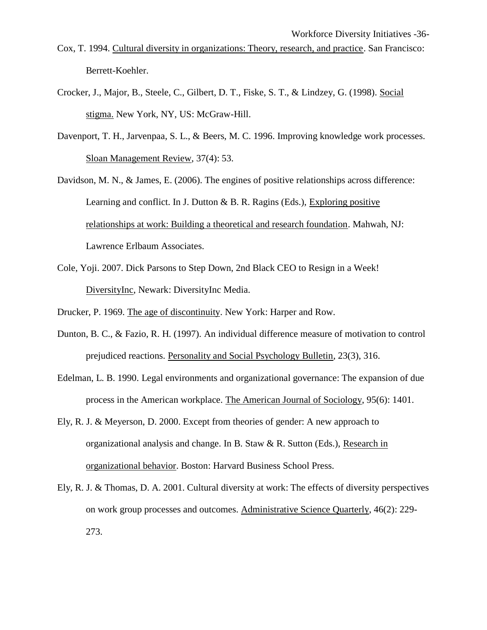- Cox, T. 1994. Cultural diversity in organizations: Theory, research, and practice. San Francisco: Berrett-Koehler.
- Crocker, J., Major, B., Steele, C., Gilbert, D. T., Fiske, S. T., & Lindzey, G. (1998). Social stigma. New York, NY, US: McGraw-Hill.
- Davenport, T. H., Jarvenpaa, S. L., & Beers, M. C. 1996. Improving knowledge work processes. Sloan Management Review, 37(4): 53.
- Davidson, M. N., & James, E. (2006). The engines of positive relationships across difference: Learning and conflict. In J. Dutton & B. R. Ragins (Eds.), Exploring positive relationships at work: Building a theoretical and research foundation. Mahwah, NJ: Lawrence Erlbaum Associates.
- Cole, Yoji. 2007. Dick Parsons to Step Down, 2nd Black CEO to Resign in a Week! DiversityInc, Newark: DiversityInc Media.
- Drucker, P. 1969. The age of discontinuity. New York: Harper and Row.
- Dunton, B. C., & Fazio, R. H. (1997). An individual difference measure of motivation to control prejudiced reactions. Personality and Social Psychology Bulletin, 23(3), 316.
- Edelman, L. B. 1990. Legal environments and organizational governance: The expansion of due process in the American workplace. The American Journal of Sociology, 95(6): 1401.
- Ely, R. J. & Meyerson, D. 2000. Except from theories of gender: A new approach to organizational analysis and change. In B. Staw & R. Sutton (Eds.), Research in organizational behavior. Boston: Harvard Business School Press.
- Ely, R. J. & Thomas, D. A. 2001. Cultural diversity at work: The effects of diversity perspectives on work group processes and outcomes. Administrative Science Quarterly, 46(2): 229- 273.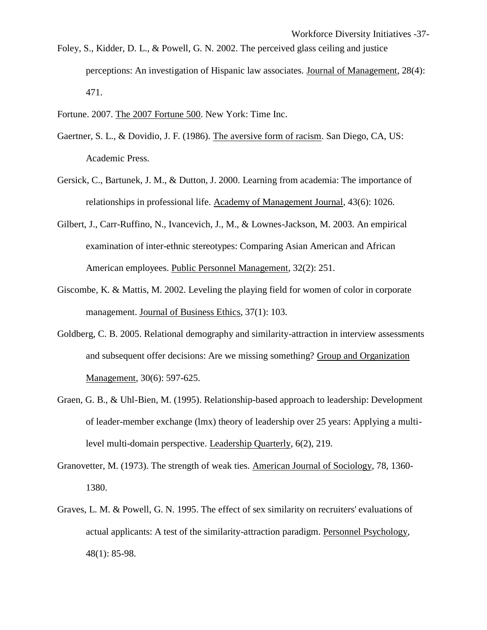- Foley, S., Kidder, D. L., & Powell, G. N. 2002. The perceived glass ceiling and justice perceptions: An investigation of Hispanic law associates. Journal of Management, 28(4): 471.
- Fortune. 2007. The 2007 Fortune 500. New York: Time Inc.
- Gaertner, S. L., & Dovidio, J. F. (1986). The aversive form of racism. San Diego, CA, US: Academic Press.
- Gersick, C., Bartunek, J. M., & Dutton, J. 2000. Learning from academia: The importance of relationships in professional life. Academy of Management Journal, 43(6): 1026.
- Gilbert, J., Carr-Ruffino, N., Ivancevich, J., M., & Lownes-Jackson, M. 2003. An empirical examination of inter-ethnic stereotypes: Comparing Asian American and African American employees. Public Personnel Management, 32(2): 251.
- Giscombe, K. & Mattis, M. 2002. Leveling the playing field for women of color in corporate management. Journal of Business Ethics, 37(1): 103.
- Goldberg, C. B. 2005. Relational demography and similarity-attraction in interview assessments and subsequent offer decisions: Are we missing something? Group and Organization Management, 30(6): 597-625.
- Graen, G. B., & Uhl-Bien, M. (1995). Relationship-based approach to leadership: Development of leader-member exchange (lmx) theory of leadership over 25 years: Applying a multilevel multi-domain perspective. Leadership Quarterly, 6(2), 219.
- Granovetter, M. (1973). The strength of weak ties. American Journal of Sociology, 78, 1360- 1380.
- Graves, L. M. & Powell, G. N. 1995. The effect of sex similarity on recruiters' evaluations of actual applicants: A test of the similarity-attraction paradigm. Personnel Psychology, 48(1): 85-98.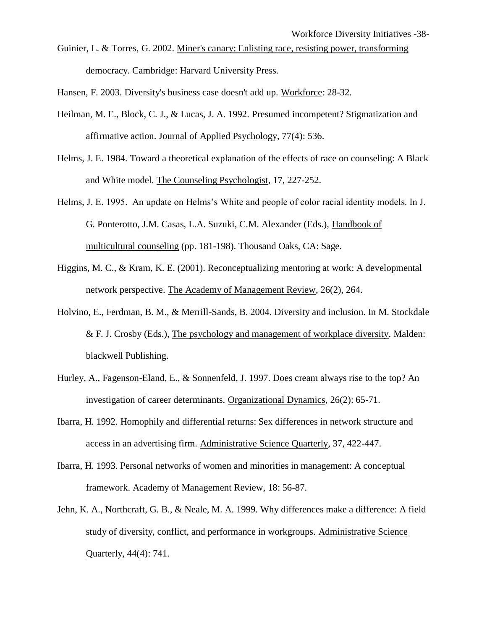Guinier, L. & Torres, G. 2002. Miner's canary: Enlisting race, resisting power, transforming democracy. Cambridge: Harvard University Press.

Hansen, F. 2003. Diversity's business case doesn't add up. Workforce: 28-32.

- Heilman, M. E., Block, C. J., & Lucas, J. A. 1992. Presumed incompetent? Stigmatization and affirmative action. Journal of Applied Psychology, 77(4): 536.
- Helms, J. E. 1984. Toward a theoretical explanation of the effects of race on counseling: A Black and White model. The Counseling Psychologist, 17, 227-252.
- Helms, J. E. 1995. An update on Helms's White and people of color racial identity models. In J. G. Ponterotto, J.M. Casas, L.A. Suzuki, C.M. Alexander (Eds.), Handbook of multicultural counseling (pp. 181-198). Thousand Oaks, CA: Sage.
- Higgins, M. C., & Kram, K. E. (2001). Reconceptualizing mentoring at work: A developmental network perspective. The Academy of Management Review, 26(2), 264.
- Holvino, E., Ferdman, B. M., & Merrill-Sands, B. 2004. Diversity and inclusion. In M. Stockdale & F. J. Crosby (Eds.), The psychology and management of workplace diversity. Malden: blackwell Publishing.
- Hurley, A., Fagenson-Eland, E., & Sonnenfeld, J. 1997. Does cream always rise to the top? An investigation of career determinants. Organizational Dynamics, 26(2): 65-71.
- Ibarra, H. 1992. Homophily and differential returns: Sex differences in network structure and access in an advertising firm. Administrative Science Quarterly, 37, 422-447.
- Ibarra, H. 1993. Personal networks of women and minorities in management: A conceptual framework. Academy of Management Review, 18: 56-87.
- Jehn, K. A., Northcraft, G. B., & Neale, M. A. 1999. Why differences make a difference: A field study of diversity, conflict, and performance in workgroups. Administrative Science Quarterly, 44(4): 741.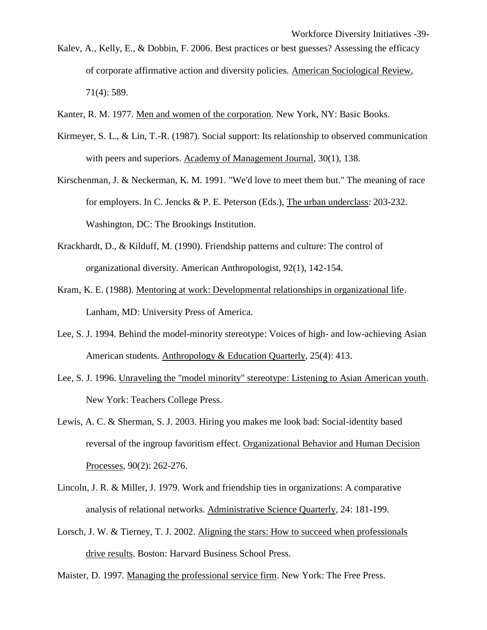- Kalev, A., Kelly, E., & Dobbin, F. 2006. Best practices or best guesses? Assessing the efficacy of corporate affirmative action and diversity policies. American Sociological Review, 71(4): 589.
- Kanter, R. M. 1977. Men and women of the corporation. New York, NY: Basic Books.
- Kirmeyer, S. L., & Lin, T.-R. (1987). Social support: Its relationship to observed communication with peers and superiors. Academy of Management Journal, 30(1), 138.
- Kirschenman, J. & Neckerman, K. M. 1991. "We'd love to meet them but." The meaning of race for employers. In C. Jencks & P. E. Peterson (Eds.), The urban underclass: 203-232. Washington, DC: The Brookings Institution.
- Krackhardt, D., & Kilduff, M. (1990). Friendship patterns and culture: The control of organizational diversity. American Anthropologist, 92(1), 142-154.
- Kram, K. E. (1988). Mentoring at work: Developmental relationships in organizational life. Lanham, MD: University Press of America.
- Lee, S. J. 1994. Behind the model-minority stereotype: Voices of high- and low-achieving Asian American students. Anthropology & Education Quarterly, 25(4): 413.
- Lee, S. J. 1996. Unraveling the "model minority" stereotype: Listening to Asian American youth. New York: Teachers College Press.
- Lewis, A. C. & Sherman, S. J. 2003. Hiring you makes me look bad: Social-identity based reversal of the ingroup favoritism effect. Organizational Behavior and Human Decision Processes, 90(2): 262-276.
- Lincoln, J. R. & Miller, J. 1979. Work and friendship ties in organizations: A comparative analysis of relational networks. Administrative Science Quarterly, 24: 181-199.
- Lorsch, J. W. & Tierney, T. J. 2002. Aligning the stars: How to succeed when professionals drive results. Boston: Harvard Business School Press.

Maister, D. 1997. Managing the professional service firm. New York: The Free Press.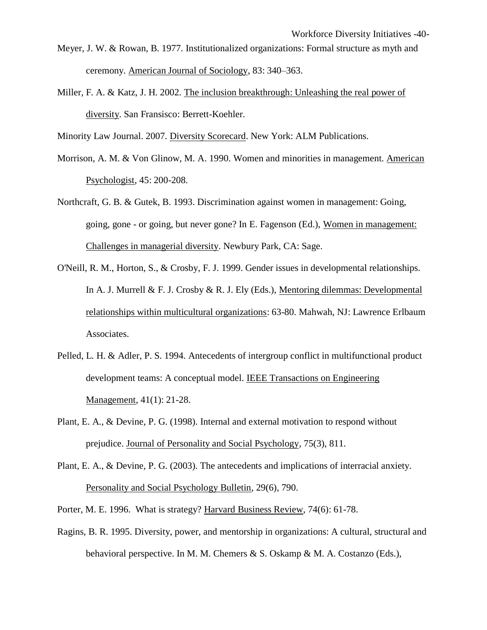- Meyer, J. W. & Rowan, B. 1977. Institutionalized organizations: Formal structure as myth and ceremony. American Journal of Sociology, 83: 340–363.
- Miller, F. A. & Katz, J. H. 2002. The inclusion breakthrough: Unleashing the real power of diversity. San Fransisco: Berrett-Koehler.

Minority Law Journal. 2007. Diversity Scorecard. New York: ALM Publications.

- Morrison, A. M. & Von Glinow, M. A. 1990. Women and minorities in management. American Psychologist, 45: 200-208.
- Northcraft, G. B. & Gutek, B. 1993. Discrimination against women in management: Going, going, gone - or going, but never gone? In E. Fagenson (Ed.), Women in management: Challenges in managerial diversity. Newbury Park, CA: Sage.
- O'Neill, R. M., Horton, S., & Crosby, F. J. 1999. Gender issues in developmental relationships. In A. J. Murrell & F. J. Crosby & R. J. Ely (Eds.), Mentoring dilemmas: Developmental relationships within multicultural organizations: 63-80. Mahwah, NJ: Lawrence Erlbaum Associates.
- Pelled, L. H. & Adler, P. S. 1994. Antecedents of intergroup conflict in multifunctional product development teams: A conceptual model. IEEE Transactions on Engineering Management, 41(1): 21-28.
- Plant, E. A., & Devine, P. G. (1998). Internal and external motivation to respond without prejudice. Journal of Personality and Social Psychology, 75(3), 811.
- Plant, E. A., & Devine, P. G. (2003). The antecedents and implications of interracial anxiety. Personality and Social Psychology Bulletin, 29(6), 790.
- Porter, M. E. 1996. What is strategy? Harvard Business Review, 74(6): 61-78.
- Ragins, B. R. 1995. Diversity, power, and mentorship in organizations: A cultural, structural and behavioral perspective. In M. M. Chemers & S. Oskamp & M. A. Costanzo (Eds.),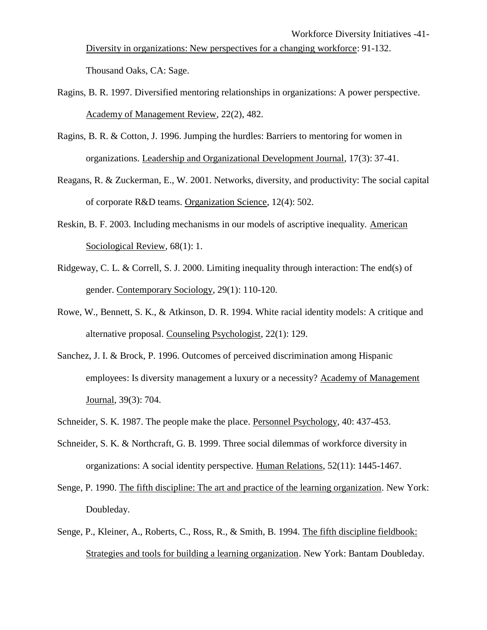Workforce Diversity Initiatives -41- Diversity in organizations: New perspectives for a changing workforce: 91-132. Thousand Oaks, CA: Sage.

- Ragins, B. R. 1997. Diversified mentoring relationships in organizations: A power perspective. Academy of Management Review, 22(2), 482.
- Ragins, B. R. & Cotton, J. 1996. Jumping the hurdles: Barriers to mentoring for women in organizations. Leadership and Organizational Development Journal, 17(3): 37-41.
- Reagans, R. & Zuckerman, E., W. 2001. Networks, diversity, and productivity: The social capital of corporate R&D teams. Organization Science, 12(4): 502.
- Reskin, B. F. 2003. Including mechanisms in our models of ascriptive inequality. American Sociological Review, 68(1): 1.
- Ridgeway, C. L. & Correll, S. J. 2000. Limiting inequality through interaction: The end(s) of gender. Contemporary Sociology, 29(1): 110-120.
- Rowe, W., Bennett, S. K., & Atkinson, D. R. 1994. White racial identity models: A critique and alternative proposal. Counseling Psychologist, 22(1): 129.
- Sanchez, J. I. & Brock, P. 1996. Outcomes of perceived discrimination among Hispanic employees: Is diversity management a luxury or a necessity? Academy of Management Journal, 39(3): 704.
- Schneider, S. K. 1987. The people make the place. Personnel Psychology, 40: 437-453.
- Schneider, S. K. & Northcraft, G. B. 1999. Three social dilemmas of workforce diversity in organizations: A social identity perspective. Human Relations, 52(11): 1445-1467.
- Senge, P. 1990. The fifth discipline: The art and practice of the learning organization. New York: Doubleday.
- Senge, P., Kleiner, A., Roberts, C., Ross, R., & Smith, B. 1994. The fifth discipline fieldbook: Strategies and tools for building a learning organization. New York: Bantam Doubleday.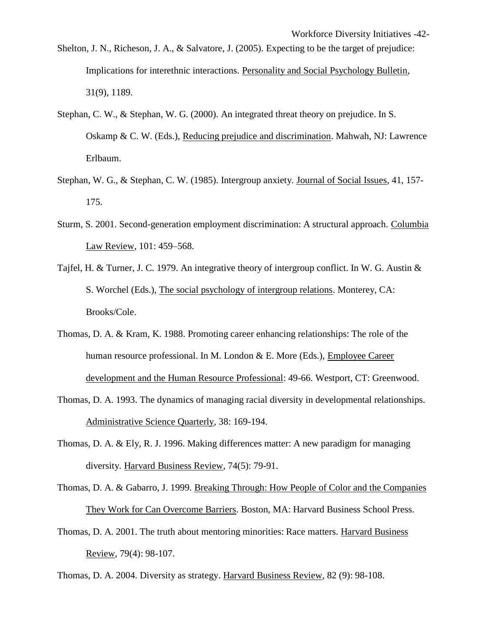- Shelton, J. N., Richeson, J. A., & Salvatore, J. (2005). Expecting to be the target of prejudice: Implications for interethnic interactions. Personality and Social Psychology Bulletin, 31(9), 1189.
- Stephan, C. W., & Stephan, W. G. (2000). An integrated threat theory on prejudice. In S. Oskamp & C. W. (Eds.), Reducing prejudice and discrimination. Mahwah, NJ: Lawrence Erlbaum.
- Stephan, W. G., & Stephan, C. W. (1985). Intergroup anxiety. Journal of Social Issues, 41, 157- 175.
- Sturm, S. 2001. Second-generation employment discrimination: A structural approach. Columbia Law Review, 101: 459–568.
- Tajfel, H. & Turner, J. C. 1979. An integrative theory of intergroup conflict. In W. G. Austin & S. Worchel (Eds.), The social psychology of intergroup relations. Monterey, CA: Brooks/Cole.
- Thomas, D. A. & Kram, K. 1988. Promoting career enhancing relationships: The role of the human resource professional. In M. London & E. More (Eds.), Employee Career development and the Human Resource Professional: 49-66. Westport, CT: Greenwood.
- Thomas, D. A. 1993. The dynamics of managing racial diversity in developmental relationships. Administrative Science Quarterly, 38: 169-194.
- Thomas, D. A. & Ely, R. J. 1996. Making differences matter: A new paradigm for managing diversity. Harvard Business Review, 74(5): 79-91.
- Thomas, D. A. & Gabarro, J. 1999. Breaking Through: How People of Color and the Companies They Work for Can Overcome Barriers. Boston, MA: Harvard Business School Press.
- Thomas, D. A. 2001. The truth about mentoring minorities: Race matters. Harvard Business Review, 79(4): 98-107.

Thomas, D. A. 2004. Diversity as strategy. Harvard Business Review, 82 (9): 98-108.